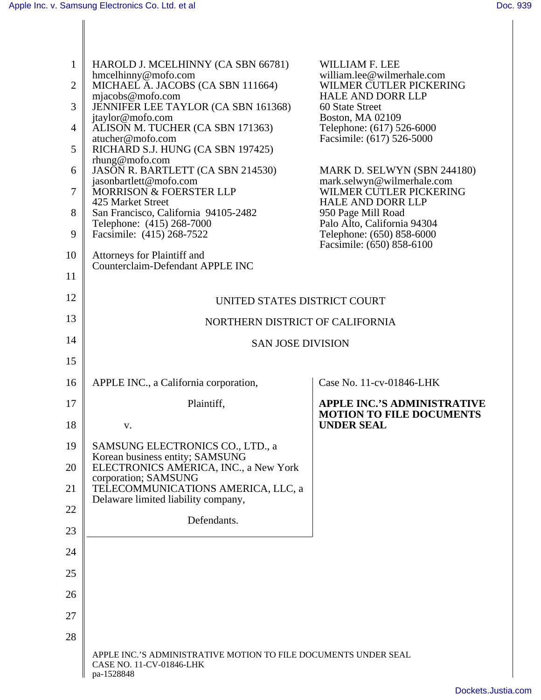|                | HAROLD J. MCELHINNY (CA SBN 66781)                                                                        | WILLIAM F. LEE                                         |
|----------------|-----------------------------------------------------------------------------------------------------------|--------------------------------------------------------|
|                | hmcelhinny@mofo.com<br>2   MICHAEL A. JACOBS (CA SBN 111664)                                              | william.lee@wilmerhale.com<br>WILMER CUTLER PICKERING  |
|                | $m$ jacobs@mofo.com<br>JENNIFER LEE TAYLOR (CA SBN 161368)                                                | HALE AND DORR LLP<br>60 State Street                   |
|                | jtaylor@mofo.com<br>4   ALISON M. TUCHER (CA SBN 171363)                                                  | Boston, MA 02109<br>Telephone: (617) 526-6000          |
|                | atucher@mofo.com<br>5   RICHARD S.J. HUNG (CA SBN 197425)                                                 | Facsimile: (617) 526-5000                              |
|                | $r$ hung@mofo.com<br>6 JASON R. BARTLETT (CA SBN 214530)                                                  | MARK D. SELWYN (SBN 244180)                            |
|                | jasonbartlett@mofo.com<br>7   MORRISON & FOERSTER LLP                                                     | mark.selwyn@wilmerhale.com<br>WILMER CUTLER PICKERING  |
|                | 425 Market Street                                                                                         | <b>HALE AND DORR LLP</b>                               |
|                | 8   San Francisco, California 94105-2482<br>Telephone: (415) 268-7000                                     | 950 Page Mill Road<br>Palo Alto, California 94304      |
|                | 9   Facsimile: $(415) 268 - 7522$                                                                         | Telephone: (650) 858-6000<br>Facsimile: (650) 858-6100 |
|                | 10 Attorneys for Plaintiff and<br>Counterclaim-Defendant APPLE INC                                        |                                                        |
| 11             |                                                                                                           |                                                        |
| 12             | UNITED STATES DISTRICT COURT                                                                              |                                                        |
| 13             | NORTHERN DISTRICT OF CALIFORNIA                                                                           |                                                        |
| 14             | SAN JOSE DIVISION                                                                                         |                                                        |
| 15             |                                                                                                           |                                                        |
| $16 \parallel$ | APPLE INC., a California corporation,                                                                     | $\vert$ Case No. 11-cv-01846-LHK                       |
| 17             | Plaintiff,                                                                                                | <b>APPLE INC.'S ADMINISTRATIVE</b>                     |
| 18             |                                                                                                           | <b>MOTION TO FILE DOCUMENTS</b><br><b>UNDER SEAL</b>   |
|                | 19 SAMSUNG ELECTRONICS CO., LTD., a                                                                       |                                                        |
|                | 20 Korean business entity; SAMSUNG<br>20 ELECTRONICS AMERICA, INC., a New York                            |                                                        |
| 21             | corporation; SAMSUNG<br>TELECOMMUNICATIONS AMERICA, LLC, a                                                |                                                        |
| 22             | Delaware limited liability company,                                                                       |                                                        |
| 23             | Defendants.                                                                                               |                                                        |
|                |                                                                                                           |                                                        |
| 24             |                                                                                                           |                                                        |
| 25             |                                                                                                           |                                                        |
| 26             |                                                                                                           |                                                        |
| 27             |                                                                                                           |                                                        |
| 28             |                                                                                                           |                                                        |
|                | APPLE INC.'S ADMINISTRATIVE MOTION TO FILE DOCUMENTS UNDER SEAL<br>CASE NO. 11-CV-01846-LHK<br>pa-1528848 |                                                        |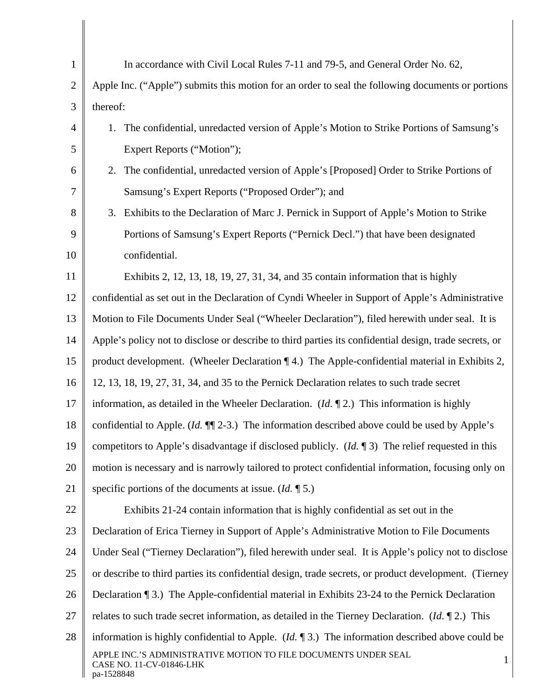|                  | In accordance with Civil Local Rules 7-11 and 79-5, and General Order No. 62,                                |  |  |  |
|------------------|--------------------------------------------------------------------------------------------------------------|--|--|--|
|                  | Apple Inc. ("Apple") submits this motion for an order to seal the following documents or portions            |  |  |  |
| 3 <sup>1</sup>   | thereof:                                                                                                     |  |  |  |
|                  | The confidential, unredacted version of Apple's Motion to Strike Portions of Samsung's                       |  |  |  |
| 5 <sup>1</sup>   | Expert Reports ("Motion");                                                                                   |  |  |  |
| $\sigma$         | The confidential, unredacted version of Apple's [Proposed] Order to Strike Portions of                       |  |  |  |
| $\tau$           | Samsung's Expert Reports ("Proposed Order"); and                                                             |  |  |  |
| 8                | Exhibits to the Declaration of Marc J. Pernick in Support of Apple's Motion to Strike                        |  |  |  |
| 9 <sup>1</sup>   | Portions of Samsung's Expert Reports ("Pernick Decl.") that have been designated                             |  |  |  |
| 10               | confidential.                                                                                                |  |  |  |
| 11               | Exhibits 2, 12, 13, 18, 19, 27, 31, 34, and 35 contain information that is highly                            |  |  |  |
|                  | 12   confidential as set out in the Declaration of Cyndi Wheeler in Support of Apple's Administrative        |  |  |  |
|                  | 13    Motion to File Documents Under Seal ("Wheeler Declaration"), filed herewith under seal. It is          |  |  |  |
|                  | 14 Apple's policy not to disclose or describe to third parties its confidential design, trade secrets, or    |  |  |  |
| $15 \parallel$   | product development. (Wheeler Declaration $\P$ 4.) The Apple-confidential material in Exhibits 2,            |  |  |  |
|                  | 16   12, 13, 18, 19, 27, 31, 34, and 35 to the Pernick Declaration relates to such trade secret              |  |  |  |
| 17               | information, as detailed in the Wheeler Declaration. $(Id, \P 2)$ This information is highly                 |  |  |  |
| 18 <sup>  </sup> | confidential to Apple. ( <i>Id.</i> $\P$ [2-3.) The information described above could be used by Apple's     |  |  |  |
|                  | 19 competitors to Apple's disadvantage if disclosed publicly. ( <i>Id.</i> 13) The relief requested in this  |  |  |  |
|                  | 20 motion is necessary and is narrowly tailored to protect confidential information, focusing only on        |  |  |  |
| 21               | specific portions of the documents at issue. $(Id. \P 5.)$                                                   |  |  |  |
| 22               | Exhibits 21-24 contain information that is highly confidential as set out in the                             |  |  |  |
| $23 \parallel$   | Declaration of Erica Tierney in Support of Apple's Administrative Motion to File Documents                   |  |  |  |
|                  | 24   Under Seal ("Tierney Declaration"), filed herewith under seal. It is Apple's policy not to disclose     |  |  |  |
| $25 \parallel$   | or describe to third parties its confidential design, trade secrets, or product development. (Tierney        |  |  |  |
|                  | 26   Declaration (3.) The Apple-confidential material in Exhibits 23-24 to the Pernick Declaration           |  |  |  |
| 27 <sub>1</sub>  | relates to such trade secret information, as detailed in the Tierney Declaration. ( <i>Id.</i> $\P$ 2.) This |  |  |  |
| 28               | information is highly confidential to Apple. ( <i>Id.</i> $\P$ 3.) The information described above could be  |  |  |  |
|                  | APPLE INC.'S ADMINISTRATIVE MOTION TO FILE DOCUMENTS UNDER SEAL<br>CASE NO. 11-CV-01846-LHK<br>pa-1528848    |  |  |  |